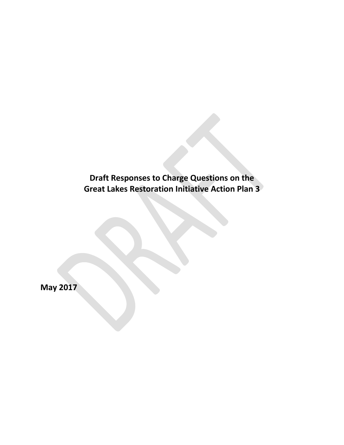**Draft Responses to Charge Questions on the Great Lakes Restoration Initiative Action Plan 3**

**May 2017**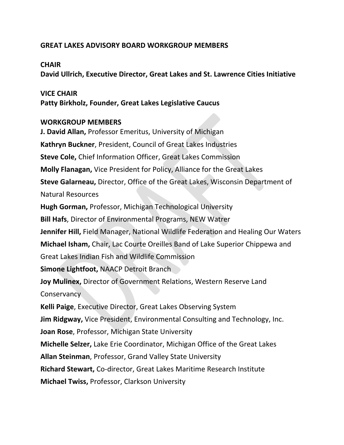## **GREAT LAKES ADVISORY BOARD WORKGROUP MEMBERS**

## **CHAIR**

**David Ullrich, Executive Director, Great Lakes and St. Lawrence Cities Initiative**

## **VICE CHAIR**

**Patty Birkholz, Founder, Great Lakes Legislative Caucus**

## **WORKGROUP MEMBERS**

**J. David Allan,** Professor Emeritus, University of Michigan **Kathryn Buckner**, President, Council of Great Lakes Industries **Steve Cole,** Chief Information Officer, Great Lakes Commission **Molly Flanagan,** Vice President for Policy, Alliance for the Great Lakes **Steve Galarneau,** Director, Office of the Great Lakes, Wisconsin Department of Natural Resources **Hugh Gorman,** Professor, Michigan Technological University **Bill Hafs**, Director of Environmental Programs, NEW Watrer **Jennifer Hill,** Field Manager, National Wildlife Federation and Healing Our Waters **Michael Isham,** Chair, Lac Courte Oreilles Band of Lake Superior Chippewa and Great Lakes Indian Fish and Wildlife Commission **Simone Lightfoot,** NAACP Detroit Branch **Joy Mulinex,** Director of Government Relations, Western Reserve Land **Conservancy Kelli Paige**, Executive Director, Great Lakes Observing System **Jim Ridgway,** Vice President, Environmental Consulting and Technology, Inc. **Joan Rose**, Professor, Michigan State University **Michelle Selzer,** Lake Erie Coordinator, Michigan Office of the Great Lakes **Allan Steinman**, Professor, Grand Valley State University **Richard Stewart,** Co-director, Great Lakes Maritime Research Institute **Michael Twiss,** Professor, Clarkson University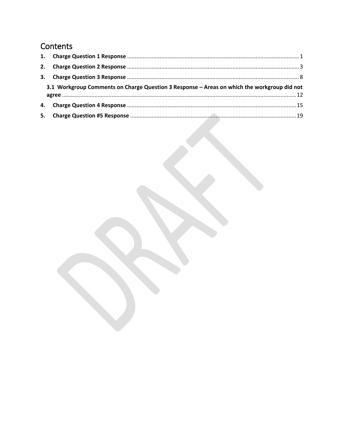# Contents

| 2.                                                                                          |  |  |
|---------------------------------------------------------------------------------------------|--|--|
| 3.                                                                                          |  |  |
| 3.1 Workgroup Comments on Charge Question 3 Response - Areas on which the workgroup did not |  |  |
|                                                                                             |  |  |
| 5.                                                                                          |  |  |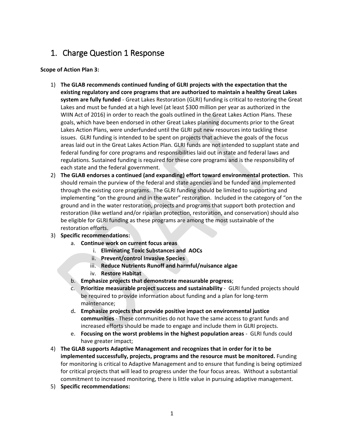# <span id="page-3-0"></span>1. Charge Question 1 Response

#### **Scope of Action Plan 3:**

- 1) **The GLAB recommends continued funding of GLRI projects with the expectation that the existing regulatory and core programs that are authorized to maintain a healthy Great Lakes system are fully funded** - Great Lakes Restoration (GLRI) funding is critical to restoring the Great Lakes and must be funded at a high level (at least \$300 million per year as authorized in the WIIN Act of 2016) in order to reach the goals outlined in the Great Lakes Action Plans. These goals, which have been endorsed in other Great Lakes planning documents prior to the Great Lakes Action Plans, were underfunded until the GLRI put new resources into tackling these issues. GLRI funding is intended to be spent on projects that achieve the goals of the focus areas laid out in the Great Lakes Action Plan. GLRI funds are not intended to supplant state and federal funding for core programs and responsibilities laid out in state and federal laws and regulations. Sustained funding is required for these core programs and is the responsibility of each state and the federal government.
- 2) **The GLAB endorses a continued (and expanding) effort toward environmental protection.** This should remain the purview of the federal and state agencies and be funded and implemented through the existing core programs. The GLRI funding should be limited to supporting and implementing "on the ground and in the water" restoration. Included in the category of "on the ground and in the water restoration, projects and programs that support both protection and restoration (like wetland and/or riparian protection, restoration, and conservation) should also be eligible for GLRI funding as these programs are among the most sustainable of the restoration efforts.
- 3) **Specific recommendations:**
	- a. **Continue work on current focus areas**
		- i. **Eliminating Toxic Substances and AOCs**
		- ii. **Prevent/control Invasive Species**
		- iii. **Reduce Nutrients Runoff and harmful/nuisance algae**
		- iv. **Restore Habitat**
	- b. **Emphasize projects that demonstrate measurable progress**;
	- c. **Prioritize measurable project success and sustainability** GLRI funded projects should be required to provide information about funding and a plan for long-term maintenance;
	- d**. Emphasize projects that provide positive impact on environmental justice communities** - These communities do not have the same access to grant funds and increased efforts should be made to engage and include them in GLRI projects.
	- e. **Focusing on the worst problems in the highest population areas** GLRI funds could have greater impact;
- 4) **The GLAB supports Adaptive Management and recognizes that in order for it to be implemented successfully, projects, programs and the resource must be monitored.** Funding for monitoring is critical to Adaptive Management and to ensure that funding is being optimized for critical projects that will lead to progress under the four focus areas. Without a substantial commitment to increased monitoring, there is little value in pursuing adaptive management.
- 5) **Specific recommendations:**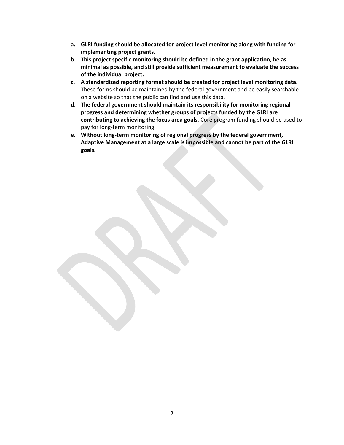- **a. GLRI funding should be allocated for project level monitoring along with funding for implementing project grants.**
- **b. This project specific monitoring should be defined in the grant application, be as minimal as possible, and still provide sufficient measurement to evaluate the success of the individual project.**
- **c. A standardized reporting format should be created for project level monitoring data.**  These forms should be maintained by the federal government and be easily searchable on a website so that the public can find and use this data.
- **d. The federal government should maintain its responsibility for monitoring regional progress and determining whether groups of projects funded by the GLRI are contributing to achieving the focus area goals.** Core program funding should be used to pay for long-term monitoring.
- **e. Without long-term monitoring of regional progress by the federal government, Adaptive Management at a large scale is impossible and cannot be part of the GLRI goals.**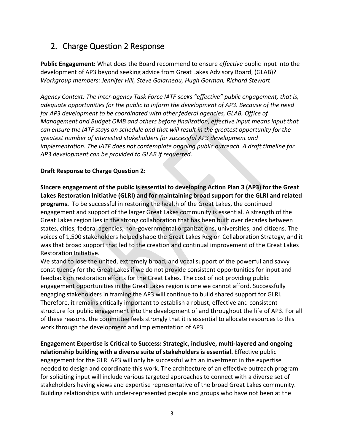# <span id="page-5-0"></span>2. Charge Question 2 Response

**Public Engagement:** What does the Board recommend to ensure *effective* public input into the development of AP3 beyond seeking advice from Great Lakes Advisory Board, (GLAB)? *Workgroup members: Jennifer Hill, Steve Galarneau, Hugh Gorman, Richard Stewart*

*Agency Context: The Inter-agency Task Force IATF seeks "effective" public engagement, that is, adequate opportunities for the public to inform the development of AP3. Because of the need for AP3 development to be coordinated with other federal agencies, GLAB, Office of Management and Budget OMB and others before finalization, effective input means input that can ensure the IATF stays on schedule and that will result in the greatest opportunity for the greatest number of interested stakeholders for successful AP3 development and implementation. The IATF does not contemplate ongoing public outreach. A draft timeline for AP3 development can be provided to GLAB if requested.*

### **Draft Response to Charge Question 2:**

**Sincere engagement of the public is essential to developing Action Plan 3 (AP3) for the Great Lakes Restoration Initiative (GLRI) and for maintaining broad support for the GLRI and related programs.** To be successful in restoring the health of the Great Lakes, the continued engagement and support of the larger Great Lakes community is essential. A strength of the Great Lakes region lies in the strong collaboration that has been built over decades between states, cities, federal agencies, non-governmental organizations, universities, and citizens. The voices of 1,500 stakeholders helped shape the Great Lakes Region Collaboration Strategy, and it was that broad support that led to the creation and continual improvement of the Great Lakes Restoration Initiative.

We stand to lose the united, extremely broad, and vocal support of the powerful and savvy constituency for the Great Lakes if we do not provide consistent opportunities for input and feedback on restoration efforts for the Great Lakes. The cost of not providing public engagement opportunities in the Great Lakes region is one we cannot afford. Successfully engaging stakeholders in framing the AP3 will continue to build shared support for GLRI. Therefore, it remains critically important to establish a robust, effective and consistent structure for public engagement into the development of and throughout the life of AP3. For all of these reasons, the committee feels strongly that it is essential to allocate resources to this work through the development and implementation of AP3.

**Engagement Expertise is Critical to Success: Strategic, inclusive, multi-layered and ongoing relationship building with a diverse suite of stakeholders is essential.** Effective public engagement for the GLRI AP3 will only be successful with an investment in the expertise needed to design and coordinate this work. The architecture of an effective outreach program for soliciting input will include various targeted approaches to connect with a diverse set of stakeholders having views and expertise representative of the broad Great Lakes community. Building relationships with under-represented people and groups who have not been at the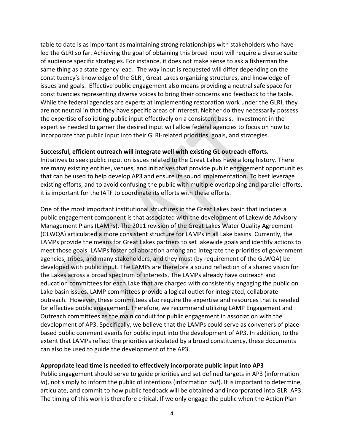table to date is as important as maintaining strong relationships with stakeholders who have led the GLRI so far. Achieving the goal of obtaining this broad input will require a diverse suite of audience specific strategies. For instance, it does not make sense to ask a fisherman the same thing as a state agency lead. The way input is requested will differ depending on the constituency's knowledge of the GLRI, Great Lakes organizing structures, and knowledge of issues and goals. Effective public engagement also means providing a neutral safe space for constituencies representing diverse voices to bring their concerns and feedback to the table. While the federal agencies are experts at implementing restoration work under the GLRI, they are not neutral in that they have specific areas of interest. Neither do they necessarily possess the expertise of soliciting public input effectively on a consistent basis. Investment in the expertise needed to garner the desired input will allow federal agencies to focus on how to incorporate that public input into their GLRI-related priorities, goals, and strategies.

#### **Successful, efficient outreach will integrate well with existing GL outreach efforts.**

Initiatives to seek public input on issues related to the Great Lakes have a long history. There are many existing entities, venues, and initiatives that provide public engagement opportunities that can be used to help develop AP3 and ensure its sound implementation. To best leverage existing efforts, and to avoid confusing the public with multiple overlapping and parallel efforts, it is important for the IATF to coordinate its efforts with these efforts.

One of the most important institutional structures in the Great Lakes basin that includes a public engagement component is that associated with the development of Lakewide Advisory Management Plans (LAMPs). The 2011 revision of the Great Lakes Water Quality Agreement (GLWQA) articulated a more consistent structure for LAMPs in all Lake basins. Currently, the LAMPs provide the means for Great Lakes partners to set lakewide goals and identify actions to meet those goals. LAMPs foster collaboration among and integrate the priorities of government agencies, tribes, and many stakeholders, and they must (by requirement of the GLWQA) be developed with public input. The LAMPs are therefore a sound reflection of a shared vision for the Lakes across a broad spectrum of interests. The LAMPs already have outreach and education committees for each Lake that are charged with consistently engaging the public on Lake basin issues. LAMP committees provide a logical outlet for integrated, collaborate outreach. However, these committees also require the expertise and resources that is needed for effective public engagement. Therefore, we recommend utilizing LAMP Engagement and Outreach committees as the main conduit for public engagement in association with the development of AP3. Specifically, we believe that the LAMPs could serve as conveners of placebased public comment events for public input into the development of AP3. In addition, to the extent that LAMPs reflect the priorities articulated by a broad constituency, these documents can also be used to guide the development of the AP3.

#### **Appropriate lead time is needed to effectively incorporate public input into AP3**

Public engagement should serve to guide priorities and set defined targets in AP3 (information *in*), not simply to inform the public of intentions (information *out*). It is important to determine, articulate, and commit to how public feedback will be obtained and incorporated into GLRI AP3. The timing of this work is therefore critical. If we only engage the public when the Action Plan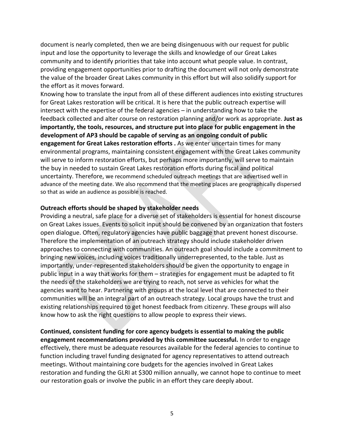document is nearly completed, then we are being disingenuous with our request for public input and lose the opportunity to leverage the skills and knowledge of our Great Lakes community and to identify priorities that take into account what people value. In contrast, providing engagement opportunities prior to drafting the document will not only demonstrate the value of the broader Great Lakes community in this effort but will also solidify support for the effort as it moves forward.

Knowing how to translate the input from all of these different audiences into existing structures for Great Lakes restoration will be critical. It is here that the public outreach expertise will intersect with the expertise of the federal agencies – in understanding how to take the feedback collected and alter course on restoration planning and/or work as appropriate. **Just as importantly, the tools, resources, and structure put into place for public engagement in the development of AP3 should be capable of serving as an ongoing conduit of public engagement for Great Lakes restoration efforts .** As we enter uncertain times for many environmental programs, maintaining consistent engagement with the Great Lakes community will serve to inform restoration efforts, but perhaps more importantly, will serve to maintain the buy in needed to sustain Great Lakes restoration efforts during fiscal and political uncertainty. Therefore, we recommend scheduled outreach meetings that are advertised well in advance of the meeting date. We also recommend that the meeting places are geographically dispersed so that as wide an audience as possible is reached.

#### **Outreach efforts should be shaped by stakeholder needs**

Providing a neutral, safe place for a diverse set of stakeholders is essential for honest discourse on Great Lakes issues. Events to solicit input should be convened by an organization that fosters open dialogue. Often, regulatory agencies have public baggage that prevent honest discourse. Therefore the implementation of an outreach strategy should include stakeholder driven approaches to connecting with communities. An outreach goal should include a commitment to bringing new voices, including voices traditionally underrepresented, to the table. Just as importantly, under-represented stakeholders should be given the opportunity to engage in public input in a way that works for them – strategies for engagement must be adapted to fit the needs of the stakeholders we are trying to reach, not serve as vehicles for what the agencies want to hear. Partnering with groups at the local level that are connected to their communities will be an integral part of an outreach strategy. Local groups have the trust and existing relationships required to get honest feedback from citizenry. These groups will also know how to ask the right questions to allow people to express their views.

**Continued, consistent funding for core agency budgets is essential to making the public engagement recommendations provided by this committee successful.** In order to engage effectively, there must be adequate resources available for the federal agencies to continue to function including travel funding designated for agency representatives to attend outreach meetings. Without maintaining core budgets for the agencies involved in Great Lakes restoration and funding the GLRI at \$300 million annually, we cannot hope to continue to meet our restoration goals or involve the public in an effort they care deeply about.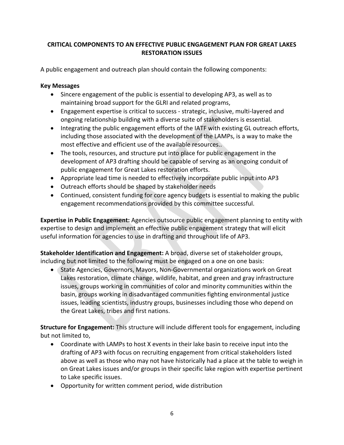### **CRITICAL COMPONENTS TO AN EFFECTIVE PUBLIC ENGAGEMENT PLAN FOR GREAT LAKES RESTORATION ISSUES**

A public engagement and outreach plan should contain the following components:

#### **Key Messages**

- Sincere engagement of the public is essential to developing AP3, as well as to maintaining broad support for the GLRI and related programs,
- Engagement expertise is critical to success strategic, inclusive, multi-layered and ongoing relationship building with a diverse suite of stakeholders is essential.
- Integrating the public engagement efforts of the IATF with existing GL outreach efforts, including those associated with the development of the LAMPs, is a way to make the most effective and efficient use of the available resources..
- The tools, resources, and structure put into place for public engagement in the development of AP3 drafting should be capable of serving as an ongoing conduit of public engagement for Great Lakes restoration efforts.
- Appropriate lead time is needed to effectively incorporate public input into AP3
- Outreach efforts should be shaped by stakeholder needs
- Continued, consistent funding for core agency budgets is essential to making the public engagement recommendations provided by this committee successful.

**Expertise in Public Engagement:** Agencies outsource public engagement planning to entity with expertise to design and implement an effective public engagement strategy that will elicit useful information for agencies to use in drafting and throughout life of AP3.

**Stakeholder Identification and Engagement:** A broad, diverse set of stakeholder groups, including but not limited to the following must be engaged on a one on one basis:

 State Agencies, Governors, Mayors, Non-Governmental organizations work on Great Lakes restoration, climate change, wildlife, habitat, and green and gray infrastructure issues, groups working in communities of color and minority communities within the basin, groups working in disadvantaged communities fighting environmental justice issues, leading scientists, industry groups, businesses including those who depend on the Great Lakes, tribes and first nations.

**Structure for Engagement:** This structure will include different tools for engagement, including but not limited to,

- Coordinate with LAMPs to host X events in their lake basin to receive input into the drafting of AP3 with focus on recruiting engagement from critical stakeholders listed above as well as those who may not have historically had a place at the table to weigh in on Great Lakes issues and/or groups in their specific lake region with expertise pertinent to Lake specific issues.
- Opportunity for written comment period, wide distribution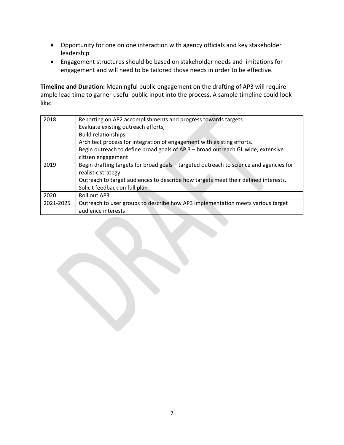- Opportunity for one on one interaction with agency officials and key stakeholder leadership
- Engagement structures should be based on stakeholder needs and limitations for engagement and will need to be tailored those needs in order to be effective.

**Timeline and Duration:** Meaningful public engagement on the drafting of AP3 will require ample lead time to garner useful public input into the process**.** A sample timeline could look like:

| 2018      | Reporting on AP2 accomplishments and progress towards targets                          |
|-----------|----------------------------------------------------------------------------------------|
|           | Evaluate existing outreach efforts,                                                    |
|           | <b>Build relationships</b>                                                             |
|           | Architect process for integration of engagement with existing efforts.                 |
|           | Begin outreach to define broad goals of AP 3 - broad outreach GL wide, extensive       |
|           | citizen engagement                                                                     |
| 2019      | Begin drafting targets for broad goals – targeted outreach to science and agencies for |
|           | realistic strategy                                                                     |
|           | Outreach to target audiences to describe how targets meet their defined interests.     |
|           | Solicit feedback on full plan                                                          |
| 2020      | Roll out AP3                                                                           |
| 2021-2025 | Outreach to user groups to describe how AP3 implementation meets various target        |
|           | audience interests                                                                     |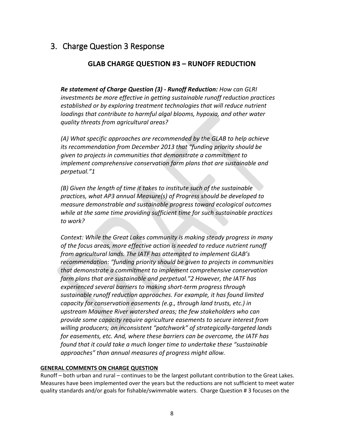## <span id="page-10-0"></span>3. Charge Question 3 Response

### **GLAB CHARGE QUESTION #3 – RUNOFF REDUCTION**

*Re statement of Charge Question (3) - Runoff Reduction: How can GLRI investments be more effective in getting sustainable runoff reduction practices established or by exploring treatment technologies that will reduce nutrient loadings that contribute to harmful algal blooms, hypoxia, and other water quality threats from agricultural areas?* 

*(A) What specific approaches are recommended by the GLAB to help achieve its recommendation from December 2013 that "funding priority should be given to projects in communities that demonstrate a commitment to implement comprehensive conservation farm plans that are sustainable and perpetual."1* 

*(B) Given the length of time it takes to institute such of the sustainable practices, what AP3 annual Measure(s) of Progress should be developed to measure demonstrable and sustainable progress toward ecological outcomes while at the same time providing sufficient time for such sustainable practices to work?* 

*Context: While the Great Lakes community is making steady progress in many of the focus areas, more effective action is needed to reduce nutrient runoff from agricultural lands. The IATF has attempted to implement GLAB's recommendation: "funding priority should be given to projects in communities that demonstrate a commitment to implement comprehensive conservation farm plans that are sustainable and perpetual."2 However, the IATF has experienced several barriers to making short-term progress through sustainable runoff reduction approaches. For example, it has found limited capacity for conservation easements (e.g., through land trusts, etc.) in upstream Maumee River watershed areas; the few stakeholders who can provide some capacity require agriculture easements to secure interest from willing producers; an inconsistent "patchwork" of strategically-targeted lands for easements, etc. And, where these barriers can be overcome, the IATF has found that it could take a much longer time to undertake these "sustainable approaches" than annual measures of progress might allow.* 

#### **GENERAL COMMENTS ON CHARGE QUESTION**

Runoff – both urban and rural – continues to be the largest pollutant contribution to the Great Lakes. Measures have been implemented over the years but the reductions are not sufficient to meet water quality standards and/or goals for fishable/swimmable waters. Charge Question # 3 focuses on the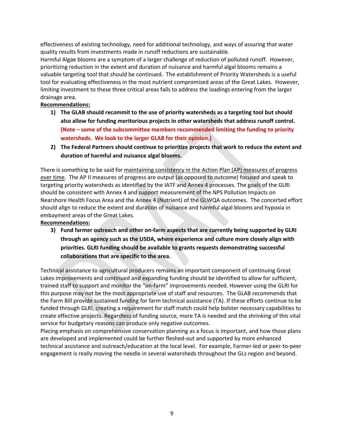effectiveness of existing technology, need for additional technology, and ways of assuring that water quality results from investments made in runoff reductions are sustainable.

Harmful Algae blooms are a symptom of a larger challenge of reduction of polluted runoff. However, prioritizing reduction in the extent and duration of nuisance and harmful algal blooms remains a valuable targeting tool that should be continued. The establishment of Priority Watersheds is a useful tool for evaluating effectiveness in the most nutrient compromised areas of the Great Lakes. However, limiting investment to these three critical areas fails to address the loadings entering from the larger drainage area.

#### **Recommendations:**

- **1) The GLAB should recommit to the use of priority watersheds as a targeting tool but should also allow for funding meritorious projects in other watersheds that address runoff control. (Note – some of the subcommittee members recommended limiting the funding to priority watersheds. We look to the larger GLAB for their opinion.)**
- **2) The Federal Partners should continue to prioritize projects that work to reduce the extent and duration of harmful and nuisance algal blooms.**

There is something to be said for maintaining consistency in the Action Plan (AP) measures of progress over time. The AP II measures of progress are output (as opposed to outcome) focused and speak to targeting priority watersheds as identified by the IATF and Annex 4 processes. The goals of the GLRI should be consistent with Annex 4 and support measurement of the NPS Pollution Impacts on Nearshore Health Focus Area and the Annex 4 (Nutrient) of the GLWQA outcomes. The concerted effort should align to reduce the extent and duration of nuisance and harmful algal blooms and hypoxia in embayment areas of the Great Lakes.

**Recommendations:**

**3) Fund farmer outreach and other on-farm aspects that are currently being supported by GLRI through an agency such as the USDA, where experience and culture more closely align with priorities. GLRI funding should be available to grants requests demonstrating successful collaborations that are specific to the area.**

Technical assistance to agricultural producers remains an important component of continuing Great Lakes improvements and continued and expanding funding should be identified to allow for sufficient, trained staff to support and monitor the "on-farm" improvements needed. However using the GLRI for this purpose may not be the most appropriate use of staff and resources. The GLAB recommends that the Farm Bill provide sustained funding for farm technical assistance (TA). If these efforts continue to be funded through GLRI, creating a requirement for staff match could help bolster necessary capabilities to create effective projects. Regardless of funding source, more TA is needed and the shrinking of this vital service for budgetary reasons can produce only negative outcomes.

Placing emphasis on comprehensive conservation planning as a focus is important, and how those plans are developed and implemented could be further fleshed-out and supported by more enhanced technical assistance and outreach/education at the local level. For example, Farmer-led or peer-to-peer engagement is really moving the needle in several watersheds throughout the GLs region and beyond.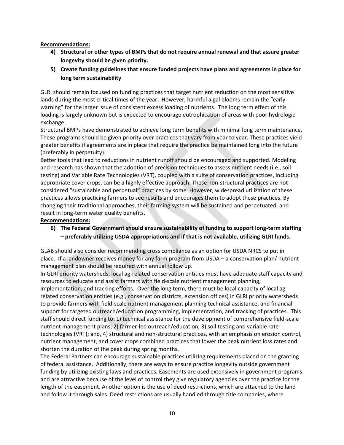#### **Recommendations:**

- **4) Structural or other types of BMPs that do not require annual renewal and that assure greater longevity should be given priority.**
- **5) Create funding guidelines that ensure funded projects have plans and agreements in place for long term sustainability**

GLRI should remain focused on funding practices that target nutrient reduction on the most sensitive lands during the most critical times of the year. However, harmful algal blooms remain the "early warning" for the larger issue of consistent excess loading of nutrients. The long term effect of this loading is largely unknown but is expected to encourage eutrophication of areas with poor hydrologic exchange.

Structural BMPs have demonstrated to achieve long term benefits with minimal long term maintenance. These programs should be given priority over practices that vary from year to year. These practices yield greater benefits if agreements are in place that require the practice be maintained long into the future (preferably in perpetuity).

Better tools that lead to reductions in nutrient runoff should be encouraged and supported. Modeling and research has shown that the adoption of precision techniques to assess nutrient needs (i.e., soil testing) and Variable Rate Technologies (VRT), coupled with a suite of conservation practices, including appropriate cover crops, can be a highly effective approach. These non-structural practices are not considered "sustainable and perpetual" practices by some. However, widespread utilization of these practices allows practicing farmers to see results and encourages them to adopt these practices. By changing their traditional approaches, their farming system will be sustained and perpetuated, and result in long-term water quality benefits.

#### **Recommendations:**

**6) The Federal Government should ensure sustainability of funding to support long-term staffing – preferably utilizing USDA appropriations and if that is not available, utilizing GLRI funds.** 

GLAB should also consider recommending cross compliance as an option for USDA NRCS to put in place. If a landowner receives money for any farm program from USDA – a conservation plan/ nutrient management plan should be required with annual follow up.

In GLRI priority watersheds, local ag-related conservation entities must have adequate staff capacity and resources to educate and assist farmers with field-scale nutrient management planning, implementation, and tracking efforts. Over the long term, there must be local capacity of local agrelated conservation entities (e.g., conservation districts, extension offices) in GLRI priority watersheds to provide farmers with field-scale nutrient management planning technical assistance, and financial support for targeted outreach/education programming, implementation, and tracking of practices. This staff should direct funding to: 1) technical assistance for the development of comprehensive field-scale nutrient management plans; 2) farmer-led outreach/education; 3) soil testing and variable rate technologies (VRT); and, 4) structural and non-structural practices, with an emphasis on erosion control, nutrient management, and cover crops combined practices that lower the peak nutrient loss rates and shorten the duration of the peak during spring months.

The Federal Partners can encourage sustainable practices utilizing requirements placed on the granting of federal assistance. Additionally, there are ways to ensure practice longevity outside government funding by utilizing existing laws and practices. Easements are used extensively in government programs and are attractive because of the level of control they give regulatory agencies over the practice for the length of the easement. Another option is the use of deed restrictions, which are attached to the land and follow it through sales. Deed restrictions are usually handled through title companies, where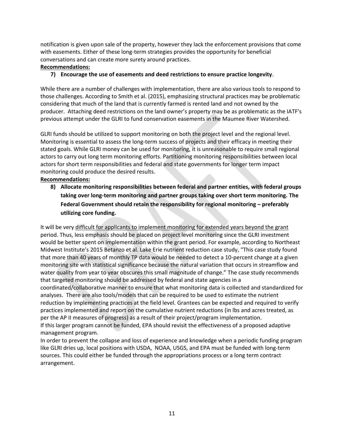notification is given upon sale of the property, however they lack the enforcement provisions that come with easements. Either of these long-term strategies provides the opportunity for beneficial conversations and can create more surety around practices.

#### **Recommendations:**

#### **7) Encourage the use of easements and deed restrictions to ensure practice longevity**.

While there are a number of challenges with implementation, there are also various tools to respond to those challenges. According to Smith et al. (2015), emphasizing structural practices may be problematic considering that much of the land that is currently farmed is rented land and not owned by the producer. Attaching deed restrictions on the land owner's property may be as problematic as the IATF's previous attempt under the GLRI to fund conservation easements in the Maumee River Watershed.

GLRI funds should be utilized to support monitoring on both the project level and the regional level. Monitoring is essential to assess the long-term success of projects and their efficacy in meeting their stated goals. While GLRI money can be used for monitoring, it is unreasonable to require small regional actors to carry out long term monitoring efforts. Partitioning monitoring responsibilities between local actors for short term responsibilities and federal and state governments for longer term impact monitoring could produce the desired results.

#### **Recommendations:**

**8) Allocate monitoring responsibilities between federal and partner entities, with federal groups taking over long-term monitoring and partner groups taking over short term monitoring. The Federal Government should retain the responsibility for regional monitoring – preferably utilizing core funding.** 

It will be very difficult for applicants to implement monitoring for extended years beyond the grant period. Thus, less emphasis should be placed on project level monitoring since the GLRI investment would be better spent on implementation within the grant period. For example, according to Northeast Midwest Institute's 2015 Betanzo et al. Lake Erie nutrient reduction case study, "This case study found that more than 40 years of monthly TP data would be needed to detect a 10-percent change at a given monitoring site with statistical significance because the natural variation that occurs in streamflow and water quality from year to year obscures this small magnitude of change." The case study recommends that targeted monitoring should be addressed by federal and state agencies in a coordinated/collaborative manner to ensure that what monitoring data is collected and standardized for analyses. There are also tools/models that can be required to be used to estimate the nutrient reduction by implementing practices at the field level. Grantees can be expected and required to verify practices implemented and report on the cumulative nutrient reductions (in lbs and acres treated, as per the AP II measures of progress) as a result of their project/program implementation. If this larger program cannot be funded, EPA should revisit the effectiveness of a proposed adaptive management program.

In order to prevent the collapse and loss of experience and knowledge when a periodic funding program like GLRI dries up, local positions with USDA, NOAA, USGS, and EPA must be funded with long-term sources. This could either be funded through the appropriations process or a long term contract arrangement.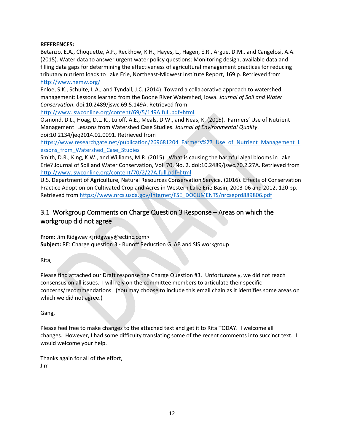#### **REFERENCES:**

Betanzo, E.A., Choquette, A.F., Reckhow, K.H., Hayes, L., Hagen, E.R., Argue, D.M., and Cangelosi, A.A. (2015). Water data to answer urgent water policy questions: Monitoring design, available data and filling data gaps for determining the effectiveness of agricultural management practices for reducing tributary nutrient loads to Lake Erie, Northeast-Midwest Institute Report, 169 p. Retrieved from <http://www.nemw.org/>

Enloe, S.K., Schulte, L.A., and Tyndall, J.C. (2014). Toward a collaborative approach to watershed management: Lessons learned from the Boone River Watershed, Iowa. *Journal of Soil and Water Conservation*. doi:10.2489/jswc.69.5.149A. Retrieved from

<http://www.jswconline.org/content/69/5/149A.full.pdf+html>

Osmond, D.L., Hoag, D.L. K., Luloff, A.E., Meals, D.W., and Neas, K. (2015). Farmers' Use of Nutrient Management: Lessons from Watershed Case Studies. *Journal of Environmental Quality*. doi:10.2134/jeq2014.02.0091. Retrieved from

https://www.researchgate.net/publication/269681204 Farmers%27 Use of Nutrient Management L essons from Watershed Case Studies

Smith, D.R., King, K.W., and Williams, M.R. (2015). What is causing the harmful algal blooms in Lake Erie? Journal of Soil and Water Conservation, Vol. 70, No. 2. doi:10.2489/jswc.70.2.27A. Retrieved from <http://www.jswconline.org/content/70/2/27A.full.pdf+html>

U.S. Department of Agriculture, Natural Resources Conservation Service. (2016). Effects of Conservation Practice Adoption on Cultivated Cropland Acres in Western Lake Erie Basin, 2003-06 and 2012. 120 pp. Retrieved from [https://www.nrcs.usda.gov/Internet/FSE\\_DOCUMENTS/nrcseprd889806.pdf](https://www.nrcs.usda.gov/Internet/FSE_DOCUMENTS/nrcseprd889806.pdf)

## <span id="page-14-0"></span>3.1 Workgroup Comments on Charge Question 3 Response – Areas on which the workgroup did not agree

**From:** Jim Ridgway <jridgway@ectinc.com> **Subject:** RE: Charge question 3 - Runoff Reduction GLAB and SIS workgroup

Rita,

Please find attached our Draft response the Charge Question #3. Unfortunately, we did not reach consensus on all issues. I will rely on the committee members to articulate their specific concerns/recommendations. (You may choose to include this email chain as it identifies some areas on which we did not agree.)

#### Gang,

Please feel free to make changes to the attached text and get it to Rita TODAY. I welcome all changes. However, I had some difficulty translating some of the recent comments into succinct text. I would welcome your help.

Thanks again for all of the effort, Jim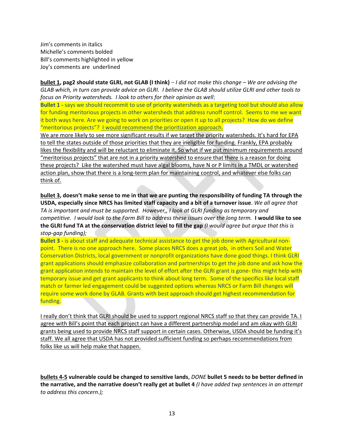Jim's comments in italics Michelle's comments bolded Bill's comments highlighted in yellow Joy's comments are underlined

**bullet 1, pag2 should state GLRI, not GLAB (I think)** – *I did not make this change – We are advising the GLAB which, in turn can provide advice on GLRI. I believe the GLAB should utilize GLRI and other tools to focus on Priority watersheds. I look to others for their opinion as well*;

**Bullet 1** - says we should recommit to use of priority watersheds as a targeting tool but should also allow for funding meritorious projects in other watersheds that address runoff control. Seems to me we want it both ways here. Are we going to work on priorities or open it up to all projects? How do we define "meritorious projects"? I would recommend the prioritization approach.

We are more likely to see more significant results if we target the priority watersheds. It's hard for EPA to tell the states outside of those priorities that they are ineligible for funding. Frankly, EPA probably likes the flexibility and will be reluctant to eliminate it. So what if we put minimum requirements around "meritorious projects" that are not in a priority watershed to ensure that there is a reason for doing these projects? Like the watershed must have algal blooms, have N or P limits in a TMDL or watershed action plan, show that there is a long-term plan for maintaining control, and whatever else folks can think of.

**bullet 3, doesn't make sense to me in that we are punting the responsibility of funding TA through the USDA, especially since NRCS has limited staff capacity and a bit of a turnover issue**. *We all agree that TA is important and must be supported. However,, I look at GLRI funding as temporary and competitive. I would look to the Farm Bill to address these issues over the long term.* **I would like to see the GLRI fund TA at the conservation district level to fill the gap** *(I would agree but argue that this is stop-gap funding);*

**Bullet 3 -** is about staff and adequate technical assistance to get the job done with Agricultural nonpoint. There is no one approach here. Some places NRCS does a great job, in others Soil and Water Conservation Districts, local government or nonprofit organizations have done good things. I think GLRI grant applications should emphasize collaboration and partnerships to get the job done and ask how the grant application intends to maintain the level of effort after the GLRI grant is gone- this might help with temporary issue and get grant applicants to think about long term. Some of the specifics like local staff match or farmer led engagement could be suggested options whereas NRCS or Farm Bill changes will require some work done by GLAB. Grants with best approach should get highest recommendation for funding.

I really don't think that GLRI should be used to support regional NRCS staff so that they can provide TA. I agree with Bill's point that each project can have a different partnership model and am okay with GLRI grants being used to provide NRCS staff support in certain cases. Otherwise, USDA should be funding it's staff. We all agree that USDA has not provided sufficient funding so perhaps recommendations from folks like us will help make that happen.

**bullets 4-5 vulnerable could be changed to sensitive lands,** *DONE* **bullet 5 needs to be better defined in the narrative, and the narrative doesn't really get at bullet 4** *(I have added twp sentences in an attempt to address this concern.);*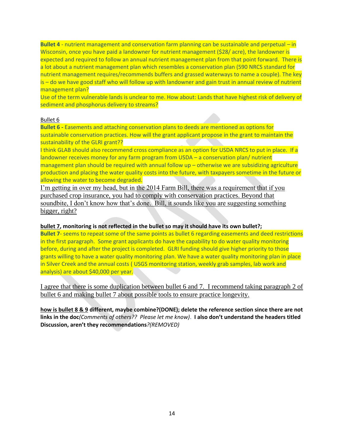**Bullet 4** - nutrient management and conservation farm planning can be sustainable and perpetual – in Wisconsin, once you have paid a landowner for nutrient management (\$28/ acre), the landowner is expected and required to follow an annual nutrient management plan from that point forward. There is a lot about a nutrient management plan which resembles a conservation plan (590 NRCS standard for nutrient management requires/recommends buffers and grassed waterways to name a couple). The key is – do we have good staff who will follow up with landowner and gain trust in annual review of nutrient management plan?

Use of the term vulnerable lands is unclear to me. How about: Lands that have highest risk of delivery of sediment and phosphorus delivery to streams?

#### Bullet 6

**Bullet 6 -** Easements and attaching conservation plans to deeds are mentioned as options for sustainable conservation practices. How will the grant applicant propose in the grant to maintain the sustainability of the GLRI grant??

I think GLAB should also recommend cross compliance as an option for USDA NRCS to put in place. If a landowner receives money for any farm program from USDA – a conservation plan/ nutrient management plan should be required with annual follow up – otherwise we are subsidizing agriculture production and placing the water quality costs into the future, with taxpayers sometime in the future or allowing the water to become degraded.

I'm getting in over my head, but in the 2014 Farm Bill, there was a requirement that if you purchased crop insurance, you had to comply with conservation practices. Beyond that soundbite, I don't know how that's done. Bill, it sounds like you are suggesting something bigger, right?

#### **bullet 7, monitoring is not reflected in the bullet so may it should have its own bullet?;**

**Bullet 7-** seems to repeat some of the same points as bullet 6 regarding easements and deed restrictions in the first paragraph. Some grant applicants do have the capability to do water quality monitoring before, during and after the project is completed. GLRI funding should give higher priority to those grants willing to have a water quality monitoring plan. We have a water quality monitoring plan in place in Silver Creek and the annual costs ( USGS monitoring station, weekly grab samples, lab work and analysis) are about \$40,000 per year.

I agree that there is some duplication between bullet 6 and 7. I recommend taking paragraph 2 of bullet 6 and making bullet 7 about possible tools to ensure practice longevity.

**how is bullet 8 & 9 different, maybe combine?(DONE); delete the reference section since there are not links in the doc***(Comments of others?? Please let me know)*. **I also don't understand the headers titled Discussion, aren't they recommendations***?(REMOVED)*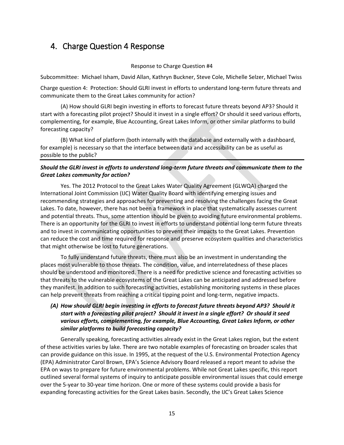## <span id="page-17-0"></span>4. Charge Question 4 Response

#### Response to Charge Question #4

Subcommittee: Michael Isham, David Allan, Kathryn Buckner, Steve Cole, Michelle Selzer, Michael Twiss

Charge question 4: Protection: Should GLRI invest in efforts to understand long-term future threats and communicate them to the Great Lakes community for action?

(A) How should GLRI begin investing in efforts to forecast future threats beyond AP3? Should it start with a forecasting pilot project? Should it invest in a single effort? Or should it seed various efforts, complementing, for example, Blue Accounting, Great Lakes Inform, or other similar platforms to build forecasting capacity?

(B) What kind of platform (both internally with the database and externally with a dashboard, for example) is necessary so that the interface between data and accessibility can be as useful as possible to the public?

#### *Should the GLRI invest in efforts to understand long-term future threats and communicate them to the Great Lakes community for action?*

Yes. The 2012 Protocol to the Great Lakes Water Quality Agreement (GLWQA) charged the International Joint Commission (IJC) Water Quality Board with identifying emerging issues and recommending strategies and approaches for preventing and resolving the challenges facing the Great Lakes. To date, however, there has not been a framework in place that systematically assesses current and potential threats. Thus, some attention should be given to avoiding future environmental problems. There is an opportunity for the GLRI to invest in efforts to understand potential long-term future threats and to invest in communicating opportunities to prevent their impacts to the Great Lakes. Prevention can reduce the cost and time required for response and preserve ecosystem qualities and characteristics that might otherwise be lost to future generations.

To fully understand future threats, there must also be an investment in understanding the places most vulnerable to those threats. The condition, value, and interrelatedness of these places should be understood and monitored. There is a need for predictive science and forecasting activities so that threats to the vulnerable ecosystems of the Great Lakes can be anticipated and addressed before they manifest. In addition to such forecasting activities, establishing monitoring systems in these places can help prevent threats from reaching a critical tipping point and long-term, negative impacts.

#### *(A) How should GLRI begin investing in efforts to forecast future threats beyond AP3? Should it start with a forecasting pilot project? Should it invest in a single effort? Or should it seed various efforts, complementing, for example, Blue Accounting, Great Lakes Inform, or other similar platforms to build forecasting capacity?*

Generally speaking, forecasting activities already exist in the Great Lakes region, but the extent of these activities varies by lake. There are two notable examples of forecasting on broader scales that can provide guidance on this issue. In 1995, at the request of the U.S. Environmental Protection Agency (EPA) Administrator Carol Brown, EPA's Science Advisory Board released a report meant to advise the EPA on ways to prepare for future environmental problems. While not Great Lakes specific, this report outlined several formal systems of inquiry to anticipate possible environmental issues that could emerge over the 5-year to 30-year time horizon. One or more of these systems could provide a basis for expanding forecasting activities for the Great Lakes basin. Secondly, the IJC's Great Lakes Science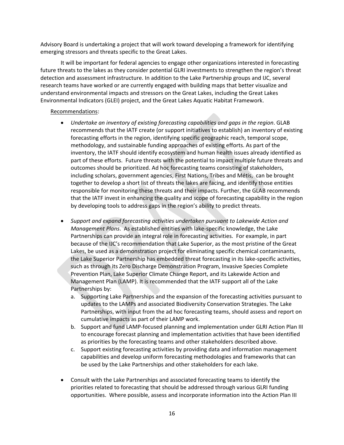Advisory Board is undertaking a project that will work toward developing a framework for identifying emerging stressors and threats specific to the Great Lakes.

It will be important for federal agencies to engage other organizations interested in forecasting future threats to the lakes as they consider potential GLRI investments to strengthen the region's threat detection and assessment infrastructure. In addition to the Lake Partnership groups and IJC, several research teams have worked or are currently engaged with building maps that better visualize and understand environmental impacts and stressors on the Great Lakes, including the Great Lakes Environmental Indicators (GLEI) project, and the Great Lakes Aquatic Habitat Framework.

#### Recommendations:

- *Undertake an inventory of existing forecasting capabilities and gaps in the region*. GLAB recommends that the IATF create (or support initiatives to establish) an inventory of existing forecasting efforts in the region, identifying specific geographic reach, temporal scope, methodology, and sustainable funding approaches of existing efforts. As part of the inventory, the IATF should identify ecosystem and human health issues already identified as part of these efforts. Future threats with the potential to impact multiple future threats and outcomes should be prioritized. Ad hoc forecasting teams consisting of stakeholders, including scholars, government agencies, First Nations, Tribes and Métis, can be brought together to develop a short list of threats the lakes are facing, and identify those entities responsible for monitoring these threats and their impacts. Further, the GLAB recommends that the IATF invest in enhancing the quality and scope of forecasting capability in the region by developing tools to address gaps in the region's ability to predict threats.
- *Support and expand forecasting activities undertaken pursuant to Lakewide Action and Management Plans*. As established entities with lake-specific knowledge, the Lake Partnerships can provide an integral role in forecasting activities. For example, in part because of the IJC's recommendation that Lake Superior, as the most pristine of the Great Lakes, be used as a demonstration project for eliminating specific chemical contaminants, the Lake Superior Partnership has embedded threat forecasting in its lake-specific activities, such as through its Zero Discharge Demonstration Program, Invasive Species Complete Prevention Plan, Lake Superior Climate Change Report, and its Lakewide Action and Management Plan (LAMP). It is recommended that the IATF support all of the Lake Partnerships by:
	- a. Supporting Lake Partnerships and the expansion of the forecasting activities pursuant to updates to the LAMPs and associated Biodiversity Conservation Strategies. The Lake Partnerships, with input from the ad hoc forecasting teams, should assess and report on cumulative impacts as part of their LAMP work.
	- b. Support and fund LAMP-focused planning and implementation under GLRI Action Plan III to encourage forecast planning and implementation activities that have been identified as priorities by the forecasting teams and other stakeholders described above.
	- c. Support existing forecasting activities by providing data and information management capabilities and develop uniform forecasting methodologies and frameworks that can be used by the Lake Partnerships and other stakeholders for each lake.
- Consult with the Lake Partnerships and associated forecasting teams to identify the priorities related to forecasting that should be addressed through various GLRI funding opportunities. Where possible, assess and incorporate information into the Action Plan III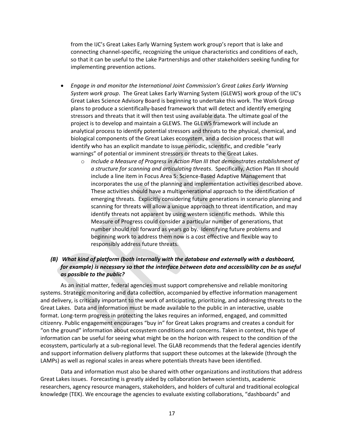from the IJC's Great Lakes Early Warning System work group's report that is lake and connecting channel-specific, recognizing the unique characteristics and conditions of each, so that it can be useful to the Lake Partnerships and other stakeholders seeking funding for implementing prevention actions.

- *Engage in and monitor the International Joint Commission's Great Lakes Early Warning System work group*. The Great Lakes Early Warning System (GLEWS) work group of the IJC's Great Lakes Science Advisory Board is beginning to undertake this work. The Work Group plans to produce a scientifically-based framework that will detect and identify emerging stressors and threats that it will then test using available data. The ultimate goal of the project is to develop and maintain a GLEWS. The GLEWS framework will include an analytical process to identify potential stressors and threats to the physical, chemical, and biological components of the Great Lakes ecosystem, and a decision process that will identify who has an explicit mandate to issue periodic, scientific, and credible "early warnings" of potential or imminent stressors or threats to the Great Lakes.
	- o *Include a Measure of Progress in Action Plan III that demonstrates establishment of a structure for scanning and articulating threats*. Specifically, Action Plan III should include a line item in Focus Area 5: Science-Based Adaptive Management that incorporates the use of the planning and implementation activities described above. These activities should have a multigenerational approach to the identification of emerging threats. Explicitly considering future generations in scenario planning and scanning for threats will allow a unique approach to threat identification, and may identify threats not apparent by using western scientific methods. While this Measure of Progress could consider a particular number of generations, that number should roll forward as years go by. Identifying future problems and beginning work to address them now is a cost effective and flexible way to responsibly address future threats.

#### *(B) What kind of platform (both internally with the database and externally with a dashboard, for example) is necessary so that the interface between data and accessibility can be as useful as possible to the public?*

As an initial matter, federal agencies must support comprehensive and reliable monitoring systems. Strategic monitoring and data collection, accompanied by effective information management and delivery, is critically important to the work of anticipating, prioritizing, and addressing threats to the Great Lakes. Data and information must be made available to the public in an interactive, usable format. Long-term progress in protecting the lakes requires an informed, engaged, and committed citizenry. Public engagement encourages "buy in" for Great Lakes programs and creates a conduit for "on the ground" information about ecosystem conditions and concerns. Taken in context, this type of information can be useful for seeing what might be on the horizon with respect to the condition of the ecosystem, particularly at a sub-regional level. The GLAB recommends that the federal agencies identify and support information delivery platforms that support these outcomes at the lakewide (through the LAMPs) as well as regional scales in areas where potentials threats have been identified.

Data and information must also be shared with other organizations and institutions that address Great Lakes issues. Forecasting is greatly aided by collaboration between scientists, academic researchers, agency resource managers, stakeholders, and holders of cultural and traditional ecological knowledge (TEK). We encourage the agencies to evaluate existing collaborations, "dashboards" and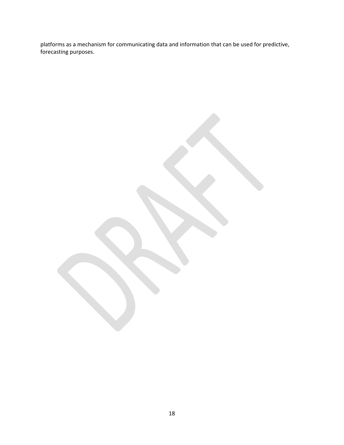platforms as a mechanism for communicating data and information that can be used for predictive, forecasting purposes.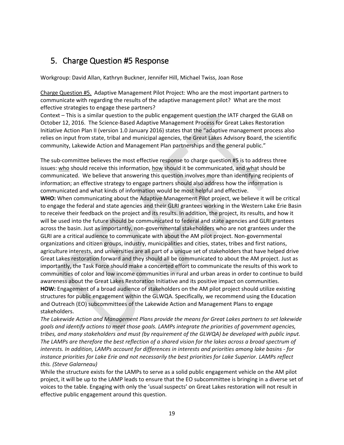## <span id="page-21-0"></span>5. Charge Question #5 Response

Workgroup: David Allan, Kathryn Buckner, Jennifer Hill, Michael Twiss, Joan Rose

Charge Question #5. Adaptive Management Pilot Project: Who are the most important partners to communicate with regarding the results of the adaptive management pilot? What are the most effective strategies to engage these partners?

Context – This is a similar question to the public engagement question the IATF charged the GLAB on October 12, 2016. The Science-Based Adaptive Management Process for Great Lakes Restoration Initiative Action Plan II (version 1.0 January 2016) states that the "adaptive management process also relies on input from state, tribal and municipal agencies, the Great Lakes Advisory Board, the scientific community, Lakewide Action and Management Plan partnerships and the general public."

The sub-committee believes the most effective response to charge question #5 is to address three issues: who should receive this information, how should it be communicated, and what should be communicated. We believe that answering this question involves more than identifying recipients of information; an effective strategy to engage partners should also address how the information is communicated and what kinds of information would be most helpful and effective.

**WHO:** When communicating about the Adaptive Management Pilot project, we believe it will be critical to engage the federal and state agencies and their GLRI grantees working in the Western Lake Erie Basin to receive their feedback on the project and its results. In addition, the project, its results, and how it will be used into the future should be communicated to federal and state agencies and GLRI grantees across the basin. Just as importantly, non-governmental stakeholders who are not grantees under the GLRI are a critical audience to communicate with about the AM pilot project. Non-governmental organizations and citizen groups, industry, municipalities and cities, states, tribes and first nations, agriculture interests, and universities are all part of a unique set of stakeholders that have helped drive Great Lakes restoration forward and they should all be communicated to about the AM project. Just as importantly, the Task Force should make a concerted effort to communicate the results of this work to communities of color and low income communities in rural and urban areas in order to continue to build awareness about the Great Lakes Restoration Initiative and its positive impact on communities. **HOW:** Engagement of a broad audience of stakeholders on the AM pilot project should utilize existing structures for public engagement within the GLWQA. Specifically, we recommend using the Education and Outreach (EO) subcommittees of the Lakewide Action and Management Plans to engage stakeholders.

*The Lakewide Action and Management Plans provide the means for Great Lakes partners to set lakewide goals and identify actions to meet those goals. LAMPs integrate the priorities of government agencies, tribes, and many stakeholders and must (by requirement of the GLWQA) be developed with public input. The LAMPs are therefore the best reflection of a shared vision for the lakes across a broad spectrum of interests. In addition, LAMPs account for differences in interests and priorities among lake basins - for instance priorities for Lake Erie and not necessarily the best priorities for Lake Superior. LAMPs reflect this. (Steve Galarneau)*

While the structure exists for the LAMPs to serve as a solid public engagement vehicle on the AM pilot project, it will be up to the LAMP leads to ensure that the EO subcommittee is bringing in a diverse set of voices to the table. Engaging with only the 'usual suspects' on Great Lakes restoration will not result in effective public engagement around this question.